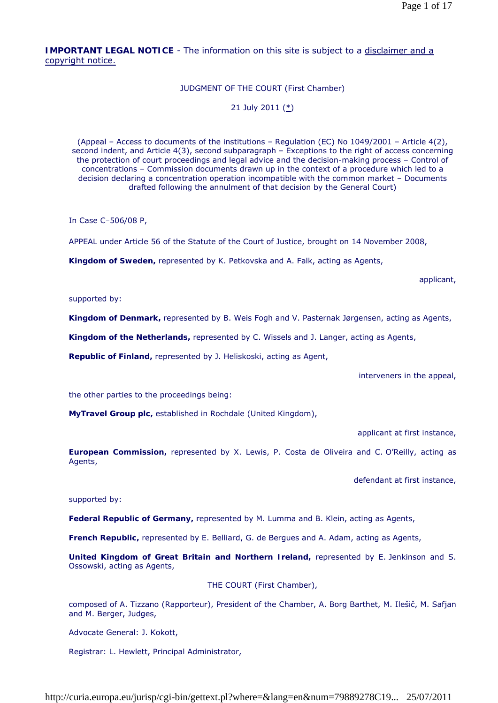**IMPORTANT LEGAL NOTICE** - The information on this site is subject to a disclaimer and a copyright notice.

### JUDGMENT OF THE COURT (First Chamber)

### 21 July 2011 (\*)

(Appeal – Access to documents of the institutions – Regulation (EC) No  $1049/2001$  – Article  $4(2)$ , second indent, and Article 4(3), second subparagraph – Exceptions to the right of access concerning the protection of court proceedings and legal advice and the decision-making process – Control of concentrations – Commission documents drawn up in the context of a procedure which led to a decision declaring a concentration operation incompatible with the common market – Documents drafted following the annulment of that decision by the General Court)

In Case C-506/08 P,

APPEAL under Article 56 of the Statute of the Court of Justice, brought on 14 November 2008,

**Kingdom of Sweden,** represented by K. Petkovska and A. Falk, acting as Agents,

applicant,

supported by:

**Kingdom of Denmark,** represented by B. Weis Fogh and V. Pasternak Jørgensen, acting as Agents,

**Kingdom of the Netherlands,** represented by C. Wissels and J. Langer, acting as Agents,

**Republic of Finland,** represented by J. Heliskoski, acting as Agent,

interveners in the appeal,

the other parties to the proceedings being:

**MyTravel Group plc,** established in Rochdale (United Kingdom),

applicant at first instance,

**European Commission,** represented by X. Lewis, P. Costa de Oliveira and C. O'Reilly, acting as Agents,

defendant at first instance,

supported by:

**Federal Republic of Germany,** represented by M. Lumma and B. Klein, acting as Agents,

**French Republic,** represented by E. Belliard, G. de Bergues and A. Adam, acting as Agents,

**United Kingdom of Great Britain and Northern Ireland,** represented by E. Jenkinson and S. Ossowski, acting as Agents,

THE COURT (First Chamber),

composed of A. Tizzano (Rapporteur), President of the Chamber, A. Borg Barthet, M. Ilešič, M. Safjan and M. Berger, Judges,

Advocate General: J. Kokott,

Registrar: L. Hewlett, Principal Administrator,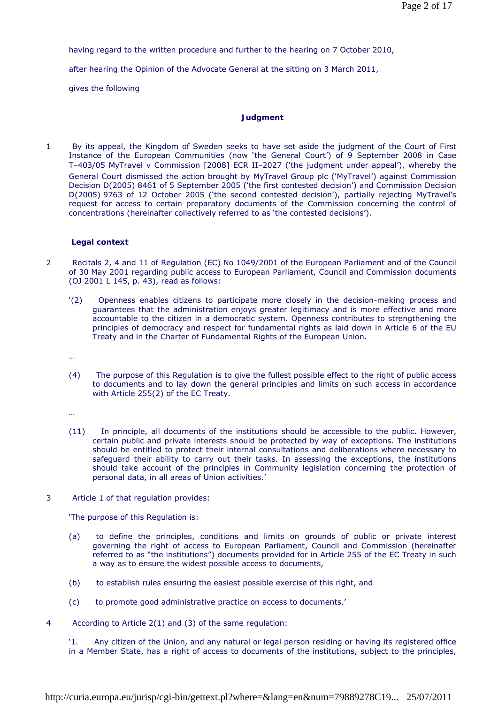having regard to the written procedure and further to the hearing on 7 October 2010,

after hearing the Opinion of the Advocate General at the sitting on 3 March 2011,

gives the following

# **Judgment**

1 By its appeal, the Kingdom of Sweden seeks to have set aside the judgment of the Court of First Instance of the European Communities (now 'the General Court') of 9 September 2008 in Case T-403/05 *MyTravel* v *Commission* [2008] ECR II-2027 ('the judgment under appeal'), whereby the General Court dismissed the action brought by MyTravel Group plc ('MyTravel') against Commission Decision D(2005) 8461 of 5 September 2005 ('the first contested decision') and Commission Decision D(2005) 9763 of 12 October 2005 ('the second contested decision'), partially rejecting MyTravel's request for access to certain preparatory documents of the Commission concerning the control of concentrations (hereinafter collectively referred to as 'the contested decisions').

# **Legal context**

- 2 Recitals 2, 4 and 11 of Regulation (EC) No 1049/2001 of the European Parliament and of the Council of 30 May 2001 regarding public access to European Parliament, Council and Commission documents (OJ 2001 L 145, p. 43), read as follows:
	- '(2) Openness enables citizens to participate more closely in the decision-making process and guarantees that the administration enjoys greater legitimacy and is more effective and more accountable to the citizen in a democratic system. Openness contributes to strengthening the principles of democracy and respect for fundamental rights as laid down in Article 6 of the EU Treaty and in the Charter of Fundamental Rights of the European Union.
	- …
	- (4) The purpose of this Regulation is to give the fullest possible effect to the right of public access to documents and to lay down the general principles and limits on such access in accordance with Article 255(2) of the EC Treaty.

…

- (11) In principle, all documents of the institutions should be accessible to the public. However, certain public and private interests should be protected by way of exceptions. The institutions should be entitled to protect their internal consultations and deliberations where necessary to safeguard their ability to carry out their tasks. In assessing the exceptions, the institutions should take account of the principles in Community legislation concerning the protection of personal data, in all areas of Union activities.'
- 3 Article 1 of that regulation provides:

'The purpose of this Regulation is:

- (a) to define the principles, conditions and limits on grounds of public or private interest governing the right of access to European Parliament, Council and Commission (hereinafter referred to as "the institutions") documents provided for in Article 255 of the EC Treaty in such a way as to ensure the widest possible access to documents,
- (b) to establish rules ensuring the easiest possible exercise of this right, and
- (c) to promote good administrative practice on access to documents.'
- 4 According to Article 2(1) and (3) of the same regulation:

'1. Any citizen of the Union, and any natural or legal person residing or having its registered office in a Member State, has a right of access to documents of the institutions, subject to the principles,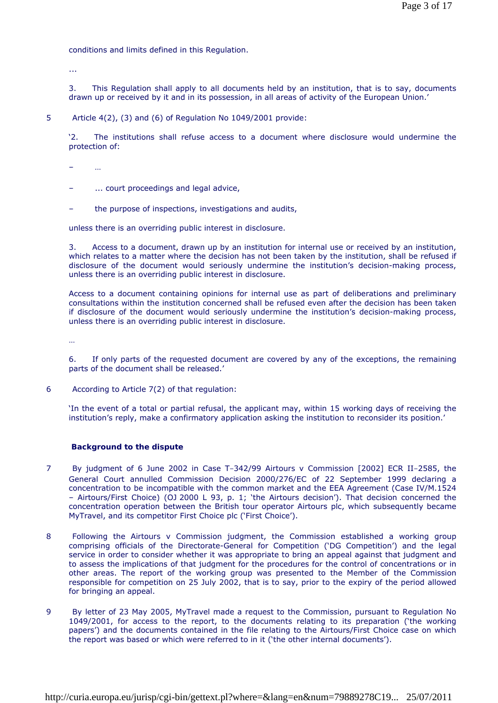conditions and limits defined in this Regulation.

...

3. This Regulation shall apply to all documents held by an institution, that is to say, documents drawn up or received by it and in its possession, in all areas of activity of the European Union.'

5 Article 4(2), (3) and (6) of Regulation No 1049/2001 provide:

'2. The institutions shall refuse access to a document where disclosure would undermine the protection of:

– …

- ... court proceedings and legal advice,
- the purpose of inspections, investigations and audits,

unless there is an overriding public interest in disclosure.

3. Access to a document, drawn up by an institution for internal use or received by an institution, which relates to a matter where the decision has not been taken by the institution, shall be refused if disclosure of the document would seriously undermine the institution's decision-making process, unless there is an overriding public interest in disclosure.

Access to a document containing opinions for internal use as part of deliberations and preliminary consultations within the institution concerned shall be refused even after the decision has been taken if disclosure of the document would seriously undermine the institution's decision-making process, unless there is an overriding public interest in disclosure.

…

6. If only parts of the requested document are covered by any of the exceptions, the remaining parts of the document shall be released.'

6 According to Article 7(2) of that regulation:

'In the event of a total or partial refusal, the applicant may, within 15 working days of receiving the institution's reply, make a confirmatory application asking the institution to reconsider its position.'

#### **Background to the dispute**

- 7 By judgment of 6 June 2002 in Case T-342/99 *Airtours* v *Commission* [2002] ECR II-2585, the General Court annulled Commission Decision 2000/276/EC of 22 September 1999 declaring a concentration to be incompatible with the common market and the EEA Agreement (Case IV/M.1524 – Airtours/First Choice) (OJ 2000 L 93, p. 1; 'the Airtours decision'). That decision concerned the concentration operation between the British tour operator Airtours plc, which subsequently became MyTravel, and its competitor First Choice plc ('First Choice').
- 8 Following the *Airtours* v *Commission* judgment, the Commission established a working group comprising officials of the Directorate-General for Competition ('DG Competition') and the legal service in order to consider whether it was appropriate to bring an appeal against that judgment and to assess the implications of that judgment for the procedures for the control of concentrations or in other areas. The report of the working group was presented to the Member of the Commission responsible for competition on 25 July 2002, that is to say, prior to the expiry of the period allowed for bringing an appeal.
- 9 By letter of 23 May 2005, MyTravel made a request to the Commission, pursuant to Regulation No 1049/2001, for access to the report, to the documents relating to its preparation ('the working papers') and the documents contained in the file relating to the Airtours/First Choice case on which the report was based or which were referred to in it ('the other internal documents').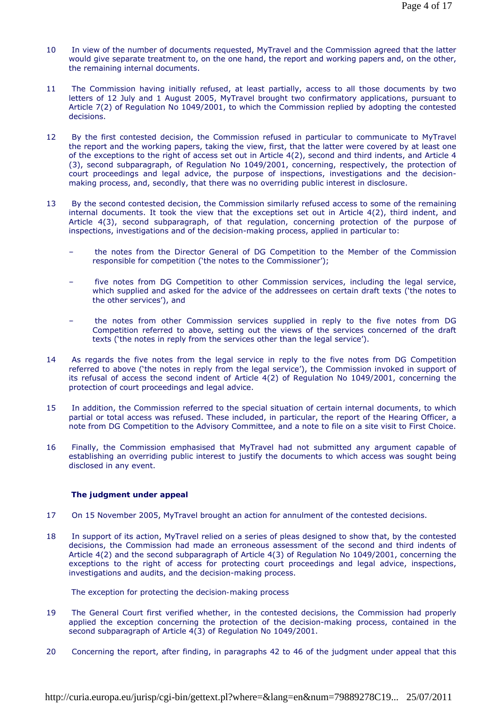- 10 In view of the number of documents requested, MyTravel and the Commission agreed that the latter would give separate treatment to, on the one hand, the report and working papers and, on the other, the remaining internal documents.
- 11 The Commission having initially refused, at least partially, access to all those documents by two letters of 12 July and 1 August 2005, MyTravel brought two confirmatory applications, pursuant to Article 7(2) of Regulation No 1049/2001, to which the Commission replied by adopting the contested decisions.
- 12 By the first contested decision, the Commission refused in particular to communicate to MyTravel the report and the working papers, taking the view, first, that the latter were covered by at least one of the exceptions to the right of access set out in Article 4(2), second and third indents, and Article 4 (3), second subparagraph, of Regulation No 1049/2001, concerning, respectively, the protection of court proceedings and legal advice, the purpose of inspections, investigations and the decisionmaking process, and, secondly, that there was no overriding public interest in disclosure.
- 13 By the second contested decision, the Commission similarly refused access to some of the remaining internal documents. It took the view that the exceptions set out in Article 4(2), third indent, and Article 4(3), second subparagraph, of that regulation, concerning protection of the purpose of inspections, investigations and of the decision-making process, applied in particular to:
	- the notes from the Director General of DG Competition to the Member of the Commission responsible for competition ('the notes to the Commissioner');
	- five notes from DG Competition to other Commission services, including the legal service, which supplied and asked for the advice of the addressees on certain draft texts ('the notes to the other services'), and
	- the notes from other Commission services supplied in reply to the five notes from DG Competition referred to above, setting out the views of the services concerned of the draft texts ('the notes in reply from the services other than the legal service').
- 14 As regards the five notes from the legal service in reply to the five notes from DG Competition referred to above ('the notes in reply from the legal service'), the Commission invoked in support of its refusal of access the second indent of Article 4(2) of Regulation No 1049/2001, concerning the protection of court proceedings and legal advice.
- 15 In addition, the Commission referred to the special situation of certain internal documents, to which partial or total access was refused. These included, in particular, the report of the Hearing Officer, a note from DG Competition to the Advisory Committee, and a note to file on a site visit to First Choice.
- 16 Finally, the Commission emphasised that MyTravel had not submitted any argument capable of establishing an overriding public interest to justify the documents to which access was sought being disclosed in any event.

# **The judgment under appeal**

- 17 On 15 November 2005, MyTravel brought an action for annulment of the contested decisions.
- 18 In support of its action, MyTravel relied on a series of pleas designed to show that, by the contested decisions, the Commission had made an erroneous assessment of the second and third indents of Article 4(2) and the second subparagraph of Article 4(3) of Regulation No 1049/2001, concerning the exceptions to the right of access for protecting court proceedings and legal advice, inspections, investigations and audits, and the decision-making process.

 *The exception for protecting the decision-making process* 

- 19 The General Court first verified whether, in the contested decisions, the Commission had properly applied the exception concerning the protection of the decision-making process, contained in the second subparagraph of Article 4(3) of Regulation No 1049/2001.
- 20 Concerning the report, after finding, in paragraphs 42 to 46 of the judgment under appeal that this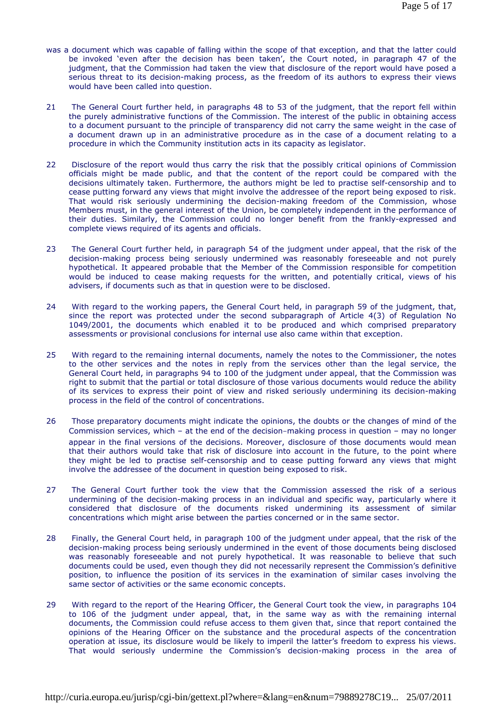- was a document which was capable of falling within the scope of that exception, and that the latter could be invoked 'even after the decision has been taken', the Court noted, in paragraph 47 of the judgment, that the Commission had taken the view that disclosure of the report would have posed a serious threat to its decision-making process, as the freedom of its authors to express their views would have been called into question.
- 21 The General Court further held, in paragraphs 48 to 53 of the judgment, that the report fell within the purely administrative functions of the Commission. The interest of the public in obtaining access to a document pursuant to the principle of transparency did not carry the same weight in the case of a document drawn up in an administrative procedure as in the case of a document relating to a procedure in which the Community institution acts in its capacity as legislator.
- 22 Disclosure of the report would thus carry the risk that the possibly critical opinions of Commission officials might be made public, and that the content of the report could be compared with the decisions ultimately taken. Furthermore, the authors might be led to practise self-censorship and to cease putting forward any views that might involve the addressee of the report being exposed to risk. That would risk seriously undermining the decision-making freedom of the Commission, whose Members must, in the general interest of the Union, be completely independent in the performance of their duties. Similarly, the Commission could no longer benefit from the frankly-expressed and complete views required of its agents and officials.
- 23 The General Court further held, in paragraph 54 of the judgment under appeal, that the risk of the decision-making process being seriously undermined was reasonably foreseeable and not purely hypothetical. It appeared probable that the Member of the Commission responsible for competition would be induced to cease making requests for the written, and potentially critical, views of his advisers, if documents such as that in question were to be disclosed.
- 24 With regard to the working papers, the General Court held, in paragraph 59 of the judgment, that, since the report was protected under the second subparagraph of Article 4(3) of Regulation No 1049/2001, the documents which enabled it to be produced and which comprised preparatory assessments or provisional conclusions for internal use also came within that exception.
- 25 With regard to the remaining internal documents, namely the notes to the Commissioner, the notes to the other services and the notes in reply from the services other than the legal service, the General Court held, in paragraphs 94 to 100 of the judgment under appeal, that the Commission was right to submit that the partial or total disclosure of those various documents would reduce the ability of its services to express their point of view and risked seriously undermining its decision-making process in the field of the control of concentrations.
- 26 Those preparatory documents might indicate the opinions, the doubts or the changes of mind of the Commission services, which – at the end of the decision-making process in question – may no longer appear in the final versions of the decisions. Moreover, disclosure of those documents would mean that their authors would take that risk of disclosure into account in the future, to the point where they might be led to practise self-censorship and to cease putting forward any views that might involve the addressee of the document in question being exposed to risk.
- 27 The General Court further took the view that the Commission assessed the risk of a serious undermining of the decision-making process in an individual and specific way, particularly where it considered that disclosure of the documents risked undermining its assessment of similar concentrations which might arise between the parties concerned or in the same sector.
- 28 Finally, the General Court held, in paragraph 100 of the judgment under appeal, that the risk of the decision-making process being seriously undermined in the event of those documents being disclosed was reasonably foreseeable and not purely hypothetical. It was reasonable to believe that such documents could be used, even though they did not necessarily represent the Commission's definitive position, to influence the position of its services in the examination of similar cases involving the same sector of activities or the same economic concepts.
- 29 With regard to the report of the Hearing Officer, the General Court took the view, in paragraphs 104 to 106 of the judgment under appeal, that, in the same way as with the remaining internal documents, the Commission could refuse access to them given that, since that report contained the opinions of the Hearing Officer on the substance and the procedural aspects of the concentration operation at issue, its disclosure would be likely to imperil the latter's freedom to express his views. That would seriously undermine the Commission's decision-making process in the area of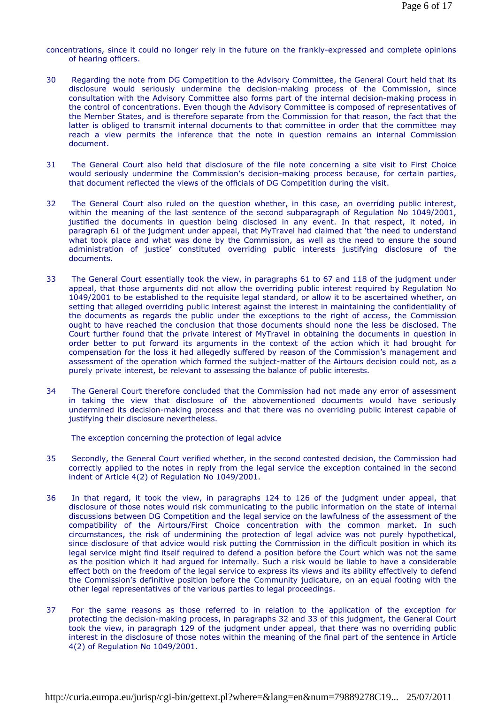concentrations, since it could no longer rely in the future on the frankly-expressed and complete opinions of hearing officers.

- 30 Regarding the note from DG Competition to the Advisory Committee, the General Court held that its disclosure would seriously undermine the decision-making process of the Commission, since consultation with the Advisory Committee also forms part of the internal decision-making process in the control of concentrations. Even though the Advisory Committee is composed of representatives of the Member States, and is therefore separate from the Commission for that reason, the fact that the latter is obliged to transmit internal documents to that committee in order that the committee may reach a view permits the inference that the note in question remains an internal Commission document.
- 31 The General Court also held that disclosure of the file note concerning a site visit to First Choice would seriously undermine the Commission's decision-making process because, for certain parties, that document reflected the views of the officials of DG Competition during the visit.
- 32 The General Court also ruled on the question whether, in this case, an overriding public interest, within the meaning of the last sentence of the second subparagraph of Regulation No 1049/2001, justified the documents in question being disclosed in any event. In that respect, it noted, in paragraph 61 of the judgment under appeal, that MyTravel had claimed that 'the need to understand what took place and what was done by the Commission, as well as the need to ensure the sound administration of justice' constituted overriding public interests justifying disclosure of the documents.
- 33 The General Court essentially took the view, in paragraphs 61 to 67 and 118 of the judgment under appeal, that those arguments did not allow the overriding public interest required by Regulation No 1049/2001 to be established to the requisite legal standard, or allow it to be ascertained whether, on setting that alleged overriding public interest against the interest in maintaining the confidentiality of the documents as regards the public under the exceptions to the right of access, the Commission ought to have reached the conclusion that those documents should none the less be disclosed. The Court further found that the private interest of MyTravel in obtaining the documents in question in order better to put forward its arguments in the context of the action which it had brought for compensation for the loss it had allegedly suffered by reason of the Commission's management and assessment of the operation which formed the subject-matter of the Airtours decision could not, as a purely private interest, be relevant to assessing the balance of public interests.
- 34 The General Court therefore concluded that the Commission had not made any error of assessment in taking the view that disclosure of the abovementioned documents would have seriously undermined its decision-making process and that there was no overriding public interest capable of justifying their disclosure nevertheless.

 *The exception concerning the protection of legal advice* 

- 35 Secondly, the General Court verified whether, in the second contested decision, the Commission had correctly applied to the notes in reply from the legal service the exception contained in the second indent of Article 4(2) of Regulation No 1049/2001.
- 36 In that regard, it took the view, in paragraphs 124 to 126 of the judgment under appeal, that disclosure of those notes would risk communicating to the public information on the state of internal discussions between DG Competition and the legal service on the lawfulness of the assessment of the compatibility of the Airtours/First Choice concentration with the common market. In such circumstances, the risk of undermining the protection of legal advice was not purely hypothetical, since disclosure of that advice would risk putting the Commission in the difficult position in which its legal service might find itself required to defend a position before the Court which was not the same as the position which it had argued for internally. Such a risk would be liable to have a considerable effect both on the freedom of the legal service to express its views and its ability effectively to defend the Commission's definitive position before the Community judicature, on an equal footing with the other legal representatives of the various parties to legal proceedings.
- 37 For the same reasons as those referred to in relation to the application of the exception for protecting the decision-making process, in paragraphs 32 and 33 of this judgment, the General Court took the view, in paragraph 129 of the judgment under appeal, that there was no overriding public interest in the disclosure of those notes within the meaning of the final part of the sentence in Article 4(2) of Regulation No 1049/2001.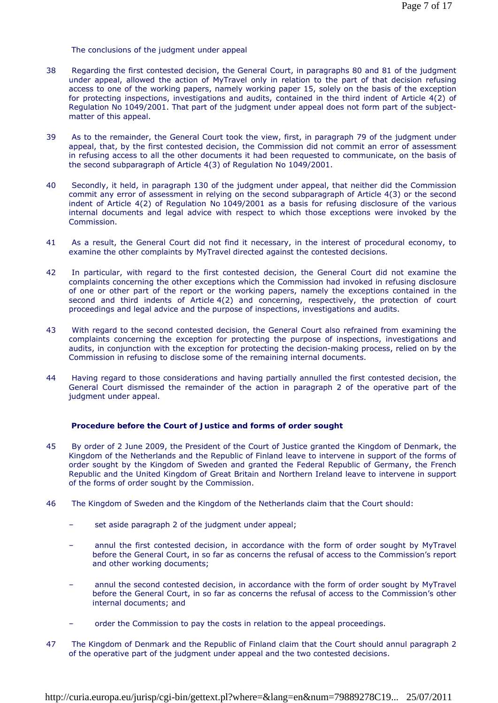### *The conclusions of the judgment under appeal*

- 38 Regarding the first contested decision, the General Court, in paragraphs 80 and 81 of the judgment under appeal, allowed the action of MyTravel only in relation to the part of that decision refusing access to one of the working papers, namely working paper 15, solely on the basis of the exception for protecting inspections, investigations and audits, contained in the third indent of Article 4(2) of Regulation No 1049/2001. That part of the judgment under appeal does not form part of the subjectmatter of this appeal.
- 39 As to the remainder, the General Court took the view, first, in paragraph 79 of the judgment under appeal, that, by the first contested decision, the Commission did not commit an error of assessment in refusing access to all the other documents it had been requested to communicate, on the basis of the second subparagraph of Article 4(3) of Regulation No 1049/2001.
- 40 Secondly, it held, in paragraph 130 of the judgment under appeal, that neither did the Commission commit any error of assessment in relying on the second subparagraph of Article 4(3) or the second indent of Article 4(2) of Regulation No 1049/2001 as a basis for refusing disclosure of the various internal documents and legal advice with respect to which those exceptions were invoked by the Commission.
- 41 As a result, the General Court did not find it necessary, in the interest of procedural economy, to examine the other complaints by MyTravel directed against the contested decisions.
- 42 In particular, with regard to the first contested decision, the General Court did not examine the complaints concerning the other exceptions which the Commission had invoked in refusing disclosure of one or other part of the report or the working papers, namely the exceptions contained in the second and third indents of Article 4(2) and concerning, respectively, the protection of court proceedings and legal advice and the purpose of inspections, investigations and audits.
- 43 With regard to the second contested decision, the General Court also refrained from examining the complaints concerning the exception for protecting the purpose of inspections, investigations and audits, in conjunction with the exception for protecting the decision-making process, relied on by the Commission in refusing to disclose some of the remaining internal documents.
- 44 Having regard to those considerations and having partially annulled the first contested decision, the General Court dismissed the remainder of the action in paragraph 2 of the operative part of the judgment under appeal.

### **Procedure before the Court of Justice and forms of order sought**

- 45 By order of 2 June 2009, the President of the Court of Justice granted the Kingdom of Denmark, the Kingdom of the Netherlands and the Republic of Finland leave to intervene in support of the forms of order sought by the Kingdom of Sweden and granted the Federal Republic of Germany, the French Republic and the United Kingdom of Great Britain and Northern Ireland leave to intervene in support of the forms of order sought by the Commission.
- 46 The Kingdom of Sweden and the Kingdom of the Netherlands claim that the Court should:
	- set aside paragraph 2 of the judgment under appeal;
	- annul the first contested decision, in accordance with the form of order sought by MyTravel before the General Court, in so far as concerns the refusal of access to the Commission's report and other working documents;
	- annul the second contested decision, in accordance with the form of order sought by MyTravel before the General Court, in so far as concerns the refusal of access to the Commission's other internal documents; and
	- order the Commission to pay the costs in relation to the appeal proceedings.
- 47 The Kingdom of Denmark and the Republic of Finland claim that the Court should annul paragraph 2 of the operative part of the judgment under appeal and the two contested decisions.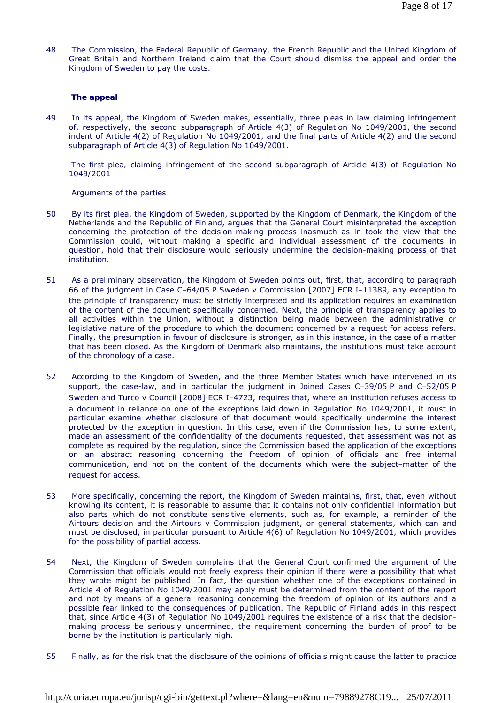48 The Commission, the Federal Republic of Germany, the French Republic and the United Kingdom of Great Britain and Northern Ireland claim that the Court should dismiss the appeal and order the Kingdom of Sweden to pay the costs.

# **The appeal**

49 In its appeal, the Kingdom of Sweden makes, essentially, three pleas in law claiming infringement of, respectively, the second subparagraph of Article 4(3) of Regulation No 1049/2001, the second indent of Article 4(2) of Regulation No 1049/2001, and the final parts of Article 4(2) and the second subparagraph of Article 4(3) of Regulation No 1049/2001.

 *The first plea, claiming infringement of the second subparagraph of Article 4(3) of Regulation No 1049/2001* 

### Arguments of the parties

- 50 By its first plea, the Kingdom of Sweden, supported by the Kingdom of Denmark, the Kingdom of the Netherlands and the Republic of Finland, argues that the General Court misinterpreted the exception concerning the protection of the decision-making process inasmuch as in took the view that the Commission could, without making a specific and individual assessment of the documents in question, hold that their disclosure would seriously undermine the decision-making process of that institution.
- 51 As a preliminary observation, the Kingdom of Sweden points out, first, that, according to paragraph 66 of the judgment in Case C-64/05 P *Sweden* v *Commission* [2007] ECR I-11389, any exception to the principle of transparency must be strictly interpreted and its application requires an examination of the content of the document specifically concerned. Next, the principle of transparency applies to all activities within the Union, without a distinction being made between the administrative or legislative nature of the procedure to which the document concerned by a request for access refers. Finally, the presumption in favour of disclosure is stronger, as in this instance, in the case of a matter that has been closed. As the Kingdom of Denmark also maintains, the institutions must take account of the chronology of a case.
- 52 According to the Kingdom of Sweden, and the three Member States which have intervened in its support, the case-law, and in particular the judgment in Joined Cases C-39/05 P and C-52/05 P *Sweden and Turco* v *Council* [2008] ECR I-4723, requires that, where an institution refuses access to a document in reliance on one of the exceptions laid down in Regulation No 1049/2001, it must in particular examine whether disclosure of that document would specifically undermine the interest protected by the exception in question. In this case, even if the Commission has, to some extent, made an assessment of the confidentiality of the documents requested, that assessment was not as complete as required by the regulation, since the Commission based the application of the exceptions on an abstract reasoning concerning the freedom of opinion of officials and free internal communication, and not on the content of the documents which were the subject-matter of the request for access.
- 53 More specifically, concerning the report, the Kingdom of Sweden maintains, first, that, even without knowing its content, it is reasonable to assume that it contains not only confidential information but also parts which do not constitute sensitive elements, such as, for example, a reminder of the Airtours decision and the *Airtours* v *Commission* judgment, or general statements, which can and must be disclosed, in particular pursuant to Article 4(6) of Regulation No 1049/2001, which provides for the possibility of partial access.
- 54 Next, the Kingdom of Sweden complains that the General Court confirmed the argument of the Commission that officials would not freely express their opinion if there were a possibility that what they wrote might be published. In fact, the question whether one of the exceptions contained in Article 4 of Regulation No 1049/2001 may apply must be determined from the content of the report and not by means of a general reasoning concerning the freedom of opinion of its authors and a possible fear linked to the consequences of publication. The Republic of Finland adds in this respect that, since Article 4(3) of Regulation No 1049/2001 requires the existence of a risk that the decisionmaking process be seriously undermined, the requirement concerning the burden of proof to be borne by the institution is particularly high.
- 55 Finally, as for the risk that the disclosure of the opinions of officials might cause the latter to practice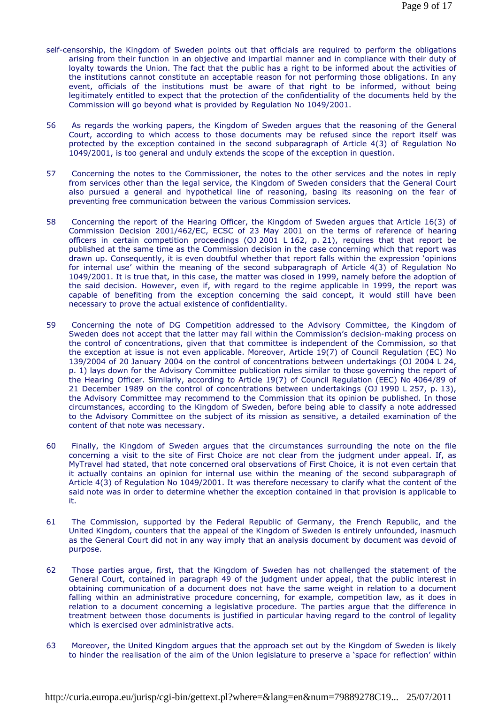- self-censorship, the Kingdom of Sweden points out that officials are required to perform the obligations arising from their function in an objective and impartial manner and in compliance with their duty of loyalty towards the Union. The fact that the public has a right to be informed about the activities of the institutions cannot constitute an acceptable reason for not performing those obligations. In any event, officials of the institutions must be aware of that right to be informed, without being legitimately entitled to expect that the protection of the confidentiality of the documents held by the Commission will go beyond what is provided by Regulation No 1049/2001.
- 56 As regards the working papers, the Kingdom of Sweden argues that the reasoning of the General Court, according to which access to those documents may be refused since the report itself was protected by the exception contained in the second subparagraph of Article 4(3) of Regulation No 1049/2001, is too general and unduly extends the scope of the exception in question.
- 57 Concerning the notes to the Commissioner, the notes to the other services and the notes in reply from services other than the legal service, the Kingdom of Sweden considers that the General Court also pursued a general and hypothetical line of reasoning, basing its reasoning on the fear of preventing free communication between the various Commission services.
- 58 Concerning the report of the Hearing Officer, the Kingdom of Sweden argues that Article 16(3) of Commission Decision 2001/462/EC, ECSC of 23 May 2001 on the terms of reference of hearing officers in certain competition proceedings (OJ 2001 L 162, p. 21), requires that that report be published at the same time as the Commission decision in the case concerning which that report was drawn up. Consequently, it is even doubtful whether that report falls within the expression 'opinions for internal use' within the meaning of the second subparagraph of Article 4(3) of Regulation No 1049/2001. It is true that, in this case, the matter was closed in 1999, namely before the adoption of the said decision. However, even if, with regard to the regime applicable in 1999, the report was capable of benefiting from the exception concerning the said concept, it would still have been necessary to prove the actual existence of confidentiality.
- 59 Concerning the note of DG Competition addressed to the Advisory Committee, the Kingdom of Sweden does not accept that the latter may fall within the Commission's decision-making process on the control of concentrations, given that that committee is independent of the Commission, so that the exception at issue is not even applicable. Moreover, Article 19(7) of Council Regulation (EC) No 139/2004 of 20 January 2004 on the control of concentrations between undertakings (OJ 2004 L 24, p. 1) lays down for the Advisory Committee publication rules similar to those governing the report of the Hearing Officer. Similarly, according to Article 19(7) of Council Regulation (EEC) No 4064/89 of 21 December 1989 on the control of concentrations between undertakings (OJ 1990 L 257, p. 13), the Advisory Committee may recommend to the Commission that its opinion be published. In those circumstances, according to the Kingdom of Sweden, before being able to classify a note addressed to the Advisory Committee on the subject of its mission as sensitive, a detailed examination of the content of that note was necessary.
- 60 Finally, the Kingdom of Sweden argues that the circumstances surrounding the note on the file concerning a visit to the site of First Choice are not clear from the judgment under appeal. If, as MyTravel had stated, that note concerned oral observations of First Choice, it is not even certain that it actually contains an opinion for internal use within the meaning of the second subparagraph of Article 4(3) of Regulation No 1049/2001. It was therefore necessary to clarify what the content of the said note was in order to determine whether the exception contained in that provision is applicable to it.
- 61 The Commission, supported by the Federal Republic of Germany, the French Republic, and the United Kingdom, counters that the appeal of the Kingdom of Sweden is entirely unfounded, inasmuch as the General Court did not in any way imply that an analysis document by document was devoid of purpose.
- 62 Those parties argue, first, that the Kingdom of Sweden has not challenged the statement of the General Court, contained in paragraph 49 of the judgment under appeal, that the public interest in obtaining communication of a document does not have the same weight in relation to a document falling within an administrative procedure concerning, for example, competition law, as it does in relation to a document concerning a legislative procedure. The parties argue that the difference in treatment between those documents is justified in particular having regard to the control of legality which is exercised over administrative acts.
- 63 Moreover, the United Kingdom argues that the approach set out by the Kingdom of Sweden is likely to hinder the realisation of the aim of the Union legislature to preserve a 'space for reflection' within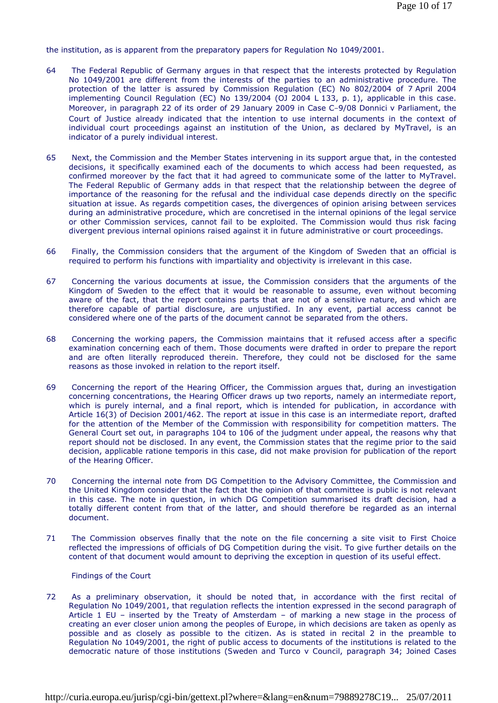the institution, as is apparent from the preparatory papers for Regulation No 1049/2001.

- 64 The Federal Republic of Germany argues in that respect that the interests protected by Regulation No 1049/2001 are different from the interests of the parties to an administrative procedure. The protection of the latter is assured by Commission Regulation (EC) No 802/2004 of 7 April 2004 implementing Council Regulation (EC) No 139/2004 (OJ 2004 L 133, p. 1), applicable in this case. Moreover, in paragraph 22 of its order of 29 January 2009 in Case C-9/08 *Donnici* v *Parliament*, the Court of Justice already indicated that the intention to use internal documents in the context of individual court proceedings against an institution of the Union, as declared by MyTravel, is an indicator of a purely individual interest.
- 65 Next, the Commission and the Member States intervening in its support argue that, in the contested decisions, it specifically examined each of the documents to which access had been requested, as confirmed moreover by the fact that it had agreed to communicate some of the latter to MyTravel. The Federal Republic of Germany adds in that respect that the relationship between the degree of importance of the reasoning for the refusal and the individual case depends directly on the specific situation at issue. As regards competition cases, the divergences of opinion arising between services during an administrative procedure, which are concretised in the internal opinions of the legal service or other Commission services, cannot fail to be exploited. The Commission would thus risk facing divergent previous internal opinions raised against it in future administrative or court proceedings.
- 66 Finally, the Commission considers that the argument of the Kingdom of Sweden that an official is required to perform his functions with impartiality and objectivity is irrelevant in this case.
- 67 Concerning the various documents at issue, the Commission considers that the arguments of the Kingdom of Sweden to the effect that it would be reasonable to assume, even without becoming aware of the fact, that the report contains parts that are not of a sensitive nature, and which are therefore capable of partial disclosure, are unjustified. In any event, partial access cannot be considered where one of the parts of the document cannot be separated from the others.
- 68 Concerning the working papers, the Commission maintains that it refused access after a specific examination concerning each of them. Those documents were drafted in order to prepare the report and are often literally reproduced therein. Therefore, they could not be disclosed for the same reasons as those invoked in relation to the report itself.
- 69 Concerning the report of the Hearing Officer, the Commission argues that, during an investigation concerning concentrations, the Hearing Officer draws up two reports, namely an intermediate report, which is purely internal, and a final report, which is intended for publication, in accordance with Article 16(3) of Decision 2001/462. The report at issue in this case is an intermediate report, drafted for the attention of the Member of the Commission with responsibility for competition matters. The General Court set out, in paragraphs 104 to 106 of the judgment under appeal, the reasons why that report should not be disclosed. In any event, the Commission states that the regime prior to the said decision, applicable ratione temporis in this case, did not make provision for publication of the report of the Hearing Officer.
- 70 Concerning the internal note from DG Competition to the Advisory Committee, the Commission and the United Kingdom consider that the fact that the opinion of that committee is public is not relevant in this case. The note in question, in which DG Competition summarised its draft decision, had a totally different content from that of the latter, and should therefore be regarded as an internal document.
- 71 The Commission observes finally that the note on the file concerning a site visit to First Choice reflected the impressions of officials of DG Competition during the visit. To give further details on the content of that document would amount to depriving the exception in question of its useful effect.

Findings of the Court

72 As a preliminary observation, it should be noted that, in accordance with the first recital of Regulation No 1049/2001, that regulation reflects the intention expressed in the second paragraph of Article 1 EU – inserted by the Treaty of Amsterdam – of marking a new stage in the process of creating an ever closer union among the peoples of Europe, in which decisions are taken as openly as possible and as closely as possible to the citizen. As is stated in recital 2 in the preamble to Regulation No 1049/2001, the right of public access to documents of the institutions is related to the democratic nature of those institutions (*Sweden and Turco* v *Council*, paragraph 34; Joined Cases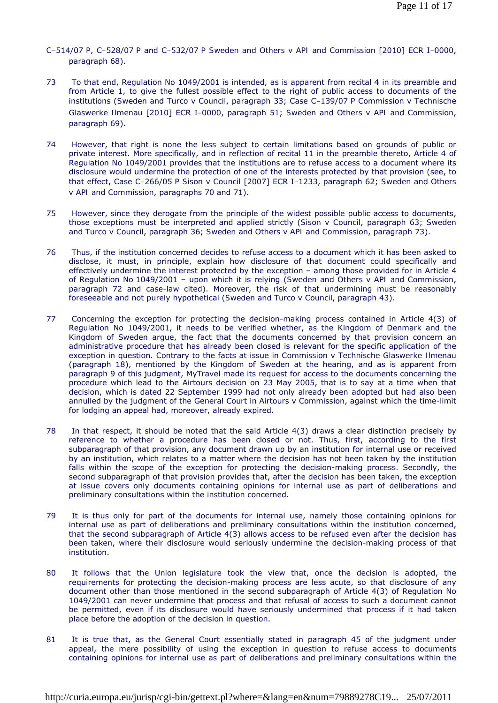- C-514/07 P, C-528/07 P and C-532/07 P *Sweden and Others* v *API and Commission* [2010] ECR I-0000, paragraph 68).
- 73 To that end, Regulation No 1049/2001 is intended, as is apparent from recital 4 in its preamble and from Article 1, to give the fullest possible effect to the right of public access to documents of the institutions (*Sweden and Turco* v *Council*, paragraph 33; Case C-139/07 P *Commission* v *Technische Glaswerke Ilmenau* [2010] ECR I-0000, paragraph 51; *Sweden and Others* v *API and Commission*, paragraph 69).
- 74 However, that right is none the less subject to certain limitations based on grounds of public or private interest. More specifically, and in reflection of recital 11 in the preamble thereto, Article 4 of Regulation No 1049/2001 provides that the institutions are to refuse access to a document where its disclosure would undermine the protection of one of the interests protected by that provision (see, to that effect, Case C-266/05 P *Sison* v *Council* [2007] ECR I-1233, paragraph 62; *Sweden and Others* v *API and Commission*, paragraphs 70 and 71).
- 75 However, since they derogate from the principle of the widest possible public access to documents, those exceptions must be interpreted and applied strictly (*Sison* v *Council*, paragraph 63; *Sweden and Turco* v *Council*, paragraph 36; *Sweden and Others* v *API and Commission*, paragraph 73).
- 76 Thus, if the institution concerned decides to refuse access to a document which it has been asked to disclose, it must, in principle, explain how disclosure of that document could specifically and effectively undermine the interest protected by the exception – among those provided for in Article 4 of Regulation No 1049/2001 – upon which it is relying (*Sweden and Others* v *API and Commission*, paragraph 72 and case-law cited). Moreover, the risk of that undermining must be reasonably foreseeable and not purely hypothetical (*Sweden and Turco* v *Council*, paragraph 43).
- 77 Concerning the exception for protecting the decision-making process contained in Article 4(3) of Regulation No 1049/2001, it needs to be verified whether, as the Kingdom of Denmark and the Kingdom of Sweden argue, the fact that the documents concerned by that provision concern an administrative procedure that has already been closed is relevant for the specific application of the exception in question. Contrary to the facts at issue in *Commission* v *Technische Glaswerke Ilmenau* (paragraph 18), mentioned by the Kingdom of Sweden at the hearing, and as is apparent from paragraph 9 of this judgment, MyTravel made its request for access to the documents concerning the procedure which lead to the Airtours decision on 23 May 2005, that is to say at a time when that decision, which is dated 22 September 1999 had not only already been adopted but had also been annulled by the judgment of the General Court in *Airtours* v *Commission*, against which the time-limit for lodging an appeal had, moreover, already expired.
- 78 In that respect, it should be noted that the said Article 4(3) draws a clear distinction precisely by reference to whether a procedure has been closed or not. Thus, first, according to the first subparagraph of that provision, any document drawn up by an institution for internal use or received by an institution, which relates to a matter where the decision has not been taken by the institution falls within the scope of the exception for protecting the decision-making process. Secondly, the second subparagraph of that provision provides that, after the decision has been taken, the exception at issue covers only documents containing opinions for internal use as part of deliberations and preliminary consultations within the institution concerned.
- 79 It is thus only for part of the documents for internal use, namely those containing opinions for internal use as part of deliberations and preliminary consultations within the institution concerned, that the second subparagraph of Article 4(3) allows access to be refused even after the decision has been taken, where their disclosure would seriously undermine the decision-making process of that institution.
- 80 It follows that the Union legislature took the view that, once the decision is adopted, the requirements for protecting the decision-making process are less acute, so that disclosure of any document other than those mentioned in the second subparagraph of Article 4(3) of Regulation No 1049/2001 can never undermine that process and that refusal of access to such a document cannot be permitted, even if its disclosure would have seriously undermined that process if it had taken place before the adoption of the decision in question.
- 81 It is true that, as the General Court essentially stated in paragraph 45 of the judgment under appeal, the mere possibility of using the exception in question to refuse access to documents containing opinions for internal use as part of deliberations and preliminary consultations within the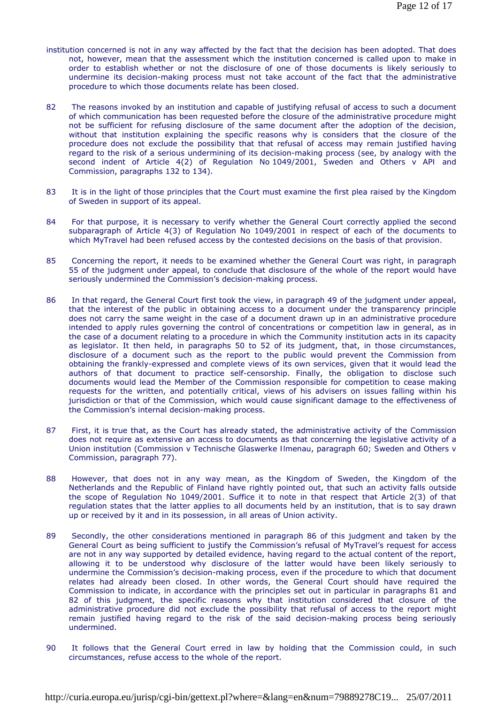- institution concerned is not in any way affected by the fact that the decision has been adopted. That does not, however, mean that the assessment which the institution concerned is called upon to make in order to establish whether or not the disclosure of one of those documents is likely seriously to undermine its decision-making process must not take account of the fact that the administrative procedure to which those documents relate has been closed.
- 82 The reasons invoked by an institution and capable of justifying refusal of access to such a document of which communication has been requested before the closure of the administrative procedure might not be sufficient for refusing disclosure of the same document after the adoption of the decision, without that institution explaining the specific reasons why is considers that the closure of the procedure does not exclude the possibility that that refusal of access may remain justified having regard to the risk of a serious undermining of its decision-making process (see, by analogy with the second indent of Article 4(2) of Regulation No 1049/2001, *Sweden and Others* v *API and Commission*, paragraphs 132 to 134).
- 83 It is in the light of those principles that the Court must examine the first plea raised by the Kingdom of Sweden in support of its appeal.
- 84 For that purpose, it is necessary to verify whether the General Court correctly applied the second subparagraph of Article 4(3) of Regulation No 1049/2001 in respect of each of the documents to which MyTravel had been refused access by the contested decisions on the basis of that provision.
- 85 Concerning the report, it needs to be examined whether the General Court was right, in paragraph 55 of the judgment under appeal, to conclude that disclosure of the whole of the report would have seriously undermined the Commission's decision-making process.
- 86 In that regard, the General Court first took the view, in paragraph 49 of the judgment under appeal, that the interest of the public in obtaining access to a document under the transparency principle does not carry the same weight in the case of a document drawn up in an administrative procedure intended to apply rules governing the control of concentrations or competition law in general, as in the case of a document relating to a procedure in which the Community institution acts in its capacity as legislator. It then held, in paragraphs 50 to 52 of its judgment, that, in those circumstances, disclosure of a document such as the report to the public would prevent the Commission from obtaining the frankly-expressed and complete views of its own services, given that it would lead the authors of that document to practice self-censorship. Finally, the obligation to disclose such documents would lead the Member of the Commission responsible for competition to cease making requests for the written, and potentially critical, views of his advisers on issues falling within his jurisdiction or that of the Commission, which would cause significant damage to the effectiveness of the Commission's internal decision-making process.
- 87 First, it is true that, as the Court has already stated, the administrative activity of the Commission does not require as extensive an access to documents as that concerning the legislative activity of a Union institution (*Commission* v *Technische Glaswerke Ilmenau*, paragraph 60; *Sweden and Others* v *Commission*, paragraph 77).
- 88 However, that does not in any way mean, as the Kingdom of Sweden, the Kingdom of the Netherlands and the Republic of Finland have rightly pointed out, that such an activity falls outside the scope of Regulation No 1049/2001. Suffice it to note in that respect that Article 2(3) of that regulation states that the latter applies to all documents held by an institution, that is to say drawn up or received by it and in its possession, in all areas of Union activity.
- 89 Secondly, the other considerations mentioned in paragraph 86 of this judgment and taken by the General Court as being sufficient to justify the Commission's refusal of MyTravel's request for access are not in any way supported by detailed evidence, having regard to the actual content of the report, allowing it to be understood why disclosure of the latter would have been likely seriously to undermine the Commission's decision-making process, even if the procedure to which that document relates had already been closed. In other words, the General Court should have required the Commission to indicate, in accordance with the principles set out in particular in paragraphs 81 and 82 of this judgment, the specific reasons why that institution considered that closure of the administrative procedure did not exclude the possibility that refusal of access to the report might remain justified having regard to the risk of the said decision-making process being seriously undermined.
- 90 It follows that the General Court erred in law by holding that the Commission could, in such circumstances, refuse access to the whole of the report.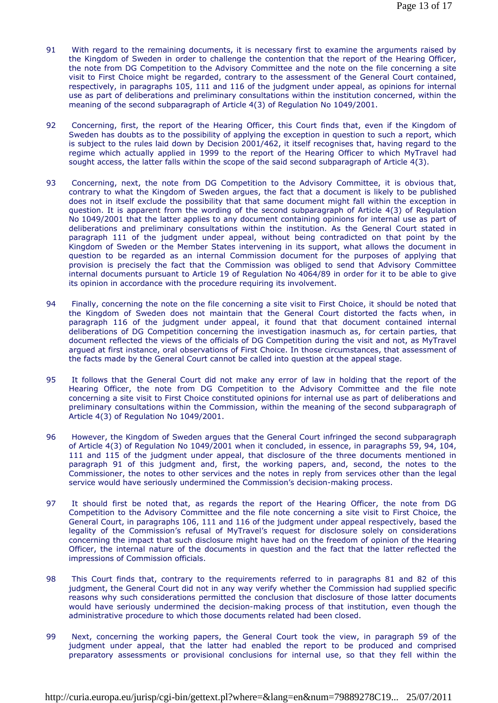- 91 With regard to the remaining documents, it is necessary first to examine the arguments raised by the Kingdom of Sweden in order to challenge the contention that the report of the Hearing Officer, the note from DG Competition to the Advisory Committee and the note on the file concerning a site visit to First Choice might be regarded, contrary to the assessment of the General Court contained, respectively, in paragraphs 105, 111 and 116 of the judgment under appeal, as opinions for internal use as part of deliberations and preliminary consultations within the institution concerned, within the meaning of the second subparagraph of Article 4(3) of Regulation No 1049/2001.
- 92 Concerning, first, the report of the Hearing Officer, this Court finds that, even if the Kingdom of Sweden has doubts as to the possibility of applying the exception in question to such a report, which is subject to the rules laid down by Decision 2001/462, it itself recognises that, having regard to the regime which actually applied in 1999 to the report of the Hearing Officer to which MyTravel had sought access, the latter falls within the scope of the said second subparagraph of Article 4(3).
- 93 Concerning, next, the note from DG Competition to the Advisory Committee, it is obvious that, contrary to what the Kingdom of Sweden argues, the fact that a document is likely to be published does not in itself exclude the possibility that that same document might fall within the exception in question. It is apparent from the wording of the second subparagraph of Article 4(3) of Regulation No 1049/2001 that the latter applies to any document containing opinions for internal use as part of deliberations and preliminary consultations within the institution. As the General Court stated in paragraph 111 of the judgment under appeal, without being contradicted on that point by the Kingdom of Sweden or the Member States intervening in its support, what allows the document in question to be regarded as an internal Commission document for the purposes of applying that provision is precisely the fact that the Commission was obliged to send that Advisory Committee internal documents pursuant to Article 19 of Regulation No 4064/89 in order for it to be able to give its opinion in accordance with the procedure requiring its involvement.
- 94 Finally, concerning the note on the file concerning a site visit to First Choice, it should be noted that the Kingdom of Sweden does not maintain that the General Court distorted the facts when, in paragraph 116 of the judgment under appeal, it found that that document contained internal deliberations of DG Competition concerning the investigation inasmuch as, for certain parties, that document reflected the views of the officials of DG Competition during the visit and not, as MyTravel argued at first instance, oral observations of First Choice. In those circumstances, that assessment of the facts made by the General Court cannot be called into question at the appeal stage.
- 95 It follows that the General Court did not make any error of law in holding that the report of the Hearing Officer, the note from DG Competition to the Advisory Committee and the file note concerning a site visit to First Choice constituted opinions for internal use as part of deliberations and preliminary consultations within the Commission, within the meaning of the second subparagraph of Article 4(3) of Regulation No 1049/2001.
- 96 However, the Kingdom of Sweden argues that the General Court infringed the second subparagraph of Article 4(3) of Regulation No 1049/2001 when it concluded, in essence, in paragraphs 59, 94, 104, 111 and 115 of the judgment under appeal, that disclosure of the three documents mentioned in paragraph 91 of this judgment and, first, the working papers, and, second, the notes to the Commissioner, the notes to other services and the notes in reply from services other than the legal service would have seriously undermined the Commission's decision-making process.
- 97 It should first be noted that, as regards the report of the Hearing Officer, the note from DG Competition to the Advisory Committee and the file note concerning a site visit to First Choice, the General Court, in paragraphs 106, 111 and 116 of the judgment under appeal respectively, based the legality of the Commission's refusal of MyTravel's request for disclosure solely on considerations concerning the impact that such disclosure might have had on the freedom of opinion of the Hearing Officer, the internal nature of the documents in question and the fact that the latter reflected the impressions of Commission officials.
- 98 This Court finds that, contrary to the requirements referred to in paragraphs 81 and 82 of this judgment, the General Court did not in any way verify whether the Commission had supplied specific reasons why such considerations permitted the conclusion that disclosure of those latter documents would have seriously undermined the decision-making process of that institution, even though the administrative procedure to which those documents related had been closed.
- 99 Next, concerning the working papers, the General Court took the view, in paragraph 59 of the judgment under appeal, that the latter had enabled the report to be produced and comprised preparatory assessments or provisional conclusions for internal use, so that they fell within the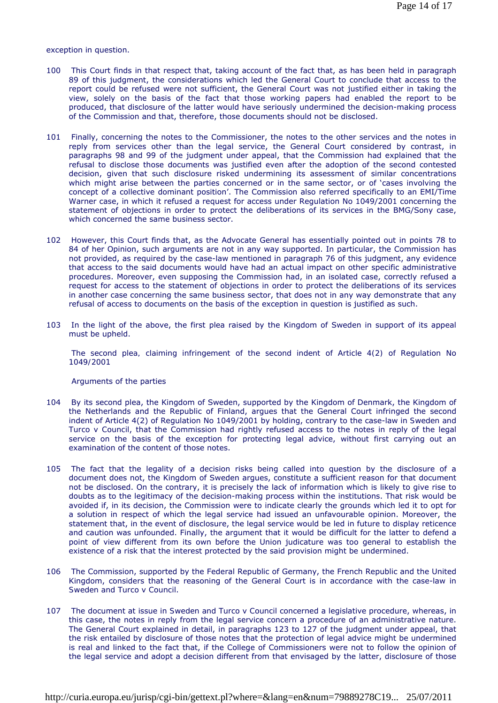#### exception in question.

- 100 This Court finds in that respect that, taking account of the fact that, as has been held in paragraph 89 of this judgment, the considerations which led the General Court to conclude that access to the report could be refused were not sufficient, the General Court was not justified either in taking the view, solely on the basis of the fact that those working papers had enabled the report to be produced, that disclosure of the latter would have seriously undermined the decision-making process of the Commission and that, therefore, those documents should not be disclosed.
- 101 Finally, concerning the notes to the Commissioner, the notes to the other services and the notes in reply from services other than the legal service, the General Court considered by contrast, in paragraphs 98 and 99 of the judgment under appeal, that the Commission had explained that the refusal to disclose those documents was justified even after the adoption of the second contested decision, given that such disclosure risked undermining its assessment of similar concentrations which might arise between the parties concerned or in the same sector, or of 'cases involving the concept of a collective dominant position'. The Commission also referred specifically to an EMI/Time Warner case, in which it refused a request for access under Regulation No 1049/2001 concerning the statement of objections in order to protect the deliberations of its services in the BMG/Sony case, which concerned the same business sector.
- 102 However, this Court finds that, as the Advocate General has essentially pointed out in points 78 to 84 of her Opinion, such arguments are not in any way supported. In particular, the Commission has not provided, as required by the case-law mentioned in paragraph 76 of this judgment, any evidence that access to the said documents would have had an actual impact on other specific administrative procedures. Moreover, even supposing the Commission had, in an isolated case, correctly refused a request for access to the statement of objections in order to protect the deliberations of its services in another case concerning the same business sector, that does not in any way demonstrate that any refusal of access to documents on the basis of the exception in question is justified as such.
- 103 In the light of the above, the first plea raised by the Kingdom of Sweden in support of its appeal must be upheld.

 *The second plea, claiming infringement of the second indent of Article 4(2) of Regulation No 1049/2001* 

### Arguments of the parties

- 104 By its second plea, the Kingdom of Sweden, supported by the Kingdom of Denmark, the Kingdom of the Netherlands and the Republic of Finland, argues that the General Court infringed the second indent of Article 4(2) of Regulation No 1049/2001 by holding, contrary to the case-law in *Sweden and Turco* v *Council*, that the Commission had rightly refused access to the notes in reply of the legal service on the basis of the exception for protecting legal advice, without first carrying out an examination of the content of those notes.
- 105 The fact that the legality of a decision risks being called into question by the disclosure of a document does not, the Kingdom of Sweden argues, constitute a sufficient reason for that document not be disclosed. On the contrary, it is precisely the lack of information which is likely to give rise to doubts as to the legitimacy of the decision-making process within the institutions. That risk would be avoided if, in its decision, the Commission were to indicate clearly the grounds which led it to opt for a solution in respect of which the legal service had issued an unfavourable opinion. Moreover, the statement that, in the event of disclosure, the legal service would be led in future to display reticence and caution was unfounded. Finally, the argument that it would be difficult for the latter to defend a point of view different from its own before the Union judicature was too general to establish the existence of a risk that the interest protected by the said provision might be undermined.
- 106 The Commission, supported by the Federal Republic of Germany, the French Republic and the United Kingdom, considers that the reasoning of the General Court is in accordance with the case-law in *Sweden and Turco* v *Council*.
- 107 The document at issue in *Sweden and Turco* v *Council* concerned a legislative procedure, whereas, in this case, the notes in reply from the legal service concern a procedure of an administrative nature. The General Court explained in detail, in paragraphs 123 to 127 of the judgment under appeal, that the risk entailed by disclosure of those notes that the protection of legal advice might be undermined is real and linked to the fact that, if the College of Commissioners were not to follow the opinion of the legal service and adopt a decision different from that envisaged by the latter, disclosure of those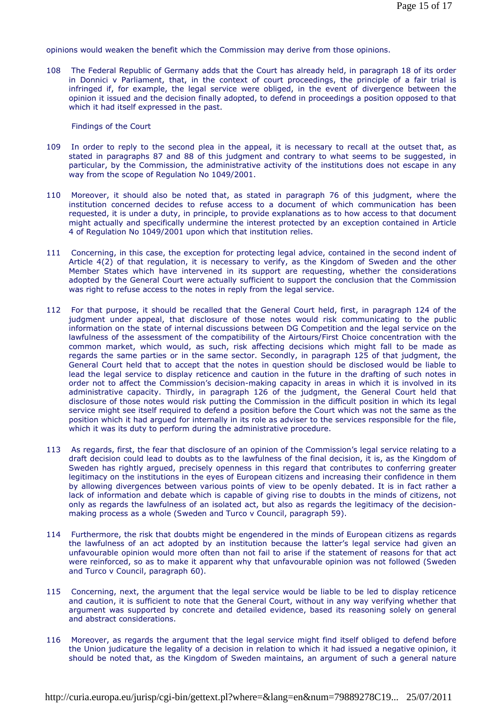opinions would weaken the benefit which the Commission may derive from those opinions.

108 The Federal Republic of Germany adds that the Court has already held, in paragraph 18 of its order in *Donnici* v *Parliament*, that, in the context of court proceedings, the principle of a fair trial is infringed if, for example, the legal service were obliged, in the event of divergence between the opinion it issued and the decision finally adopted, to defend in proceedings a position opposed to that which it had itself expressed in the past.

Findings of the Court

- 109 In order to reply to the second plea in the appeal, it is necessary to recall at the outset that, as stated in paragraphs 87 and 88 of this judgment and contrary to what seems to be suggested, in particular, by the Commission, the administrative activity of the institutions does not escape in any way from the scope of Regulation No 1049/2001.
- 110 Moreover, it should also be noted that, as stated in paragraph 76 of this judgment, where the institution concerned decides to refuse access to a document of which communication has been requested, it is under a duty, in principle, to provide explanations as to how access to that document might actually and specifically undermine the interest protected by an exception contained in Article 4 of Regulation No 1049/2001 upon which that institution relies.
- 111 Concerning, in this case, the exception for protecting legal advice, contained in the second indent of Article 4(2) of that regulation, it is necessary to verify, as the Kingdom of Sweden and the other Member States which have intervened in its support are requesting, whether the considerations adopted by the General Court were actually sufficient to support the conclusion that the Commission was right to refuse access to the notes in reply from the legal service.
- 112 For that purpose, it should be recalled that the General Court held, first, in paragraph 124 of the judgment under appeal, that disclosure of those notes would risk communicating to the public information on the state of internal discussions between DG Competition and the legal service on the lawfulness of the assessment of the compatibility of the Airtours/First Choice concentration with the common market, which would, as such, risk affecting decisions which might fall to be made as regards the same parties or in the same sector. Secondly, in paragraph 125 of that judgment, the General Court held that to accept that the notes in question should be disclosed would be liable to lead the legal service to display reticence and caution in the future in the drafting of such notes in order not to affect the Commission's decision-making capacity in areas in which it is involved in its administrative capacity. Thirdly, in paragraph 126 of the judgment, the General Court held that disclosure of those notes would risk putting the Commission in the difficult position in which its legal service might see itself required to defend a position before the Court which was not the same as the position which it had argued for internally in its role as adviser to the services responsible for the file, which it was its duty to perform during the administrative procedure.
- 113 As regards, first, the fear that disclosure of an opinion of the Commission's legal service relating to a draft decision could lead to doubts as to the lawfulness of the final decision, it is, as the Kingdom of Sweden has rightly argued, precisely openness in this regard that contributes to conferring greater legitimacy on the institutions in the eyes of European citizens and increasing their confidence in them by allowing divergences between various points of view to be openly debated. It is in fact rather a lack of information and debate which is capable of giving rise to doubts in the minds of citizens, not only as regards the lawfulness of an isolated act, but also as regards the legitimacy of the decisionmaking process as a whole (*Sweden and Turco* v *Council*, paragraph 59).
- 114 Furthermore, the risk that doubts might be engendered in the minds of European citizens as regards the lawfulness of an act adopted by an institution because the latter's legal service had given an unfavourable opinion would more often than not fail to arise if the statement of reasons for that act were reinforced, so as to make it apparent why that unfavourable opinion was not followed (*Sweden and Turco* v *Council*, paragraph 60).
- 115 Concerning, next, the argument that the legal service would be liable to be led to display reticence and caution, it is sufficient to note that the General Court, without in any way verifying whether that argument was supported by concrete and detailed evidence, based its reasoning solely on general and abstract considerations.
- 116 Moreover, as regards the argument that the legal service might find itself obliged to defend before the Union judicature the legality of a decision in relation to which it had issued a negative opinion, it should be noted that, as the Kingdom of Sweden maintains, an argument of such a general nature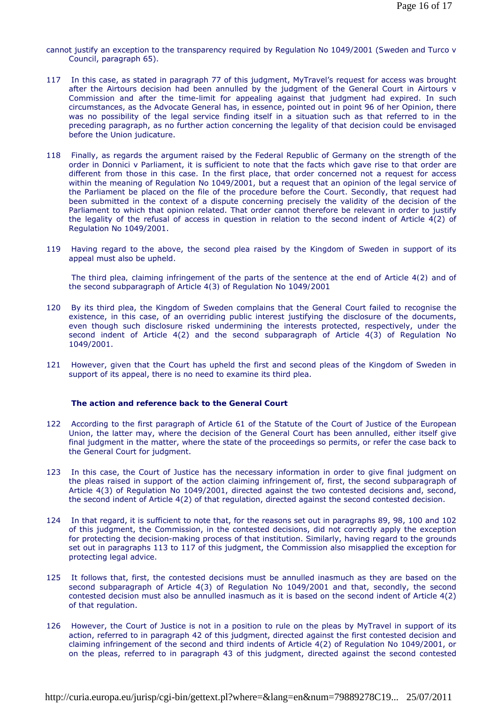cannot justify an exception to the transparency required by Regulation No 1049/2001 (*Sweden and Turco* v *Council*, paragraph 65).

- 117 In this case, as stated in paragraph 77 of this judgment, MyTravel's request for access was brought after the Airtours decision had been annulled by the judgment of the General Court in *Airtours* v *Commission* and after the time-limit for appealing against that judgment had expired. In such circumstances, as the Advocate General has, in essence, pointed out in point 96 of her Opinion, there was no possibility of the legal service finding itself in a situation such as that referred to in the preceding paragraph, as no further action concerning the legality of that decision could be envisaged before the Union judicature.
- 118 Finally, as regards the argument raised by the Federal Republic of Germany on the strength of the order in *Donnici* v *Parliament*, it is sufficient to note that the facts which gave rise to that order are different from those in this case. In the first place, that order concerned not a request for access within the meaning of Regulation No 1049/2001, but a request that an opinion of the legal service of the Parliament be placed on the file of the procedure before the Court. Secondly, that request had been submitted in the context of a dispute concerning precisely the validity of the decision of the Parliament to which that opinion related. That order cannot therefore be relevant in order to justify the legality of the refusal of access in question in relation to the second indent of Article 4(2) of Regulation No 1049/2001.
- 119 Having regard to the above, the second plea raised by the Kingdom of Sweden in support of its appeal must also be upheld.

 *The third plea, claiming infringement of the parts of the sentence at the end of Article 4(2) and of the second subparagraph of Article 4(3) of Regulation No 1049/2001* 

- 120 By its third plea, the Kingdom of Sweden complains that the General Court failed to recognise the existence, in this case, of an overriding public interest justifying the disclosure of the documents, even though such disclosure risked undermining the interests protected, respectively, under the second indent of Article 4(2) and the second subparagraph of Article 4(3) of Regulation No 1049/2001.
- 121 However, given that the Court has upheld the first and second pleas of the Kingdom of Sweden in support of its appeal, there is no need to examine its third plea.

#### **The action and reference back to the General Court**

- 122 According to the first paragraph of Article 61 of the Statute of the Court of Justice of the European Union, the latter may, where the decision of the General Court has been annulled, either itself give final judgment in the matter, where the state of the proceedings so permits, or refer the case back to the General Court for judgment.
- 123 In this case, the Court of Justice has the necessary information in order to give final judgment on the pleas raised in support of the action claiming infringement of, first, the second subparagraph of Article 4(3) of Regulation No 1049/2001, directed against the two contested decisions and, second, the second indent of Article 4(2) of that regulation, directed against the second contested decision.
- 124 In that regard, it is sufficient to note that, for the reasons set out in paragraphs 89, 98, 100 and 102 of this judgment, the Commission, in the contested decisions, did not correctly apply the exception for protecting the decision-making process of that institution. Similarly, having regard to the grounds set out in paragraphs 113 to 117 of this judgment, the Commission also misapplied the exception for protecting legal advice.
- 125 It follows that, first, the contested decisions must be annulled inasmuch as they are based on the second subparagraph of Article 4(3) of Regulation No 1049/2001 and that, secondly, the second contested decision must also be annulled inasmuch as it is based on the second indent of Article 4(2) of that regulation.
- 126 However, the Court of Justice is not in a position to rule on the pleas by MyTravel in support of its action, referred to in paragraph 42 of this judgment, directed against the first contested decision and claiming infringement of the second and third indents of Article 4(2) of Regulation No 1049/2001, or on the pleas, referred to in paragraph 43 of this judgment, directed against the second contested